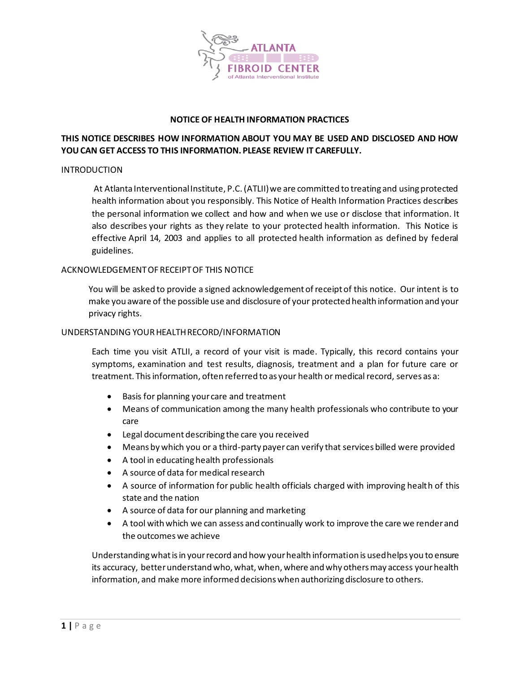

### **NOTICE OF HEALTH INFORMATION PRACTICES**

# **THIS NOTICE DESCRIBES HOW INFORMATION ABOUT YOU MAY BE USED AND DISCLOSED AND HOW YOU CAN GET ACCESS TO THIS INFORMATION. PLEASE REVIEW IT CAREFULLY.**

#### INTRODUCTION

At Atlanta Interventional Institute, P.C. (ATLII) we are committed to treating and using protected health information about you responsibly. This Notice of Health Information Practices describes the personal information we collect and how and when we use or disclose that information. It also describes your rights as they relate to your protected health information. This Notice is effective April 14, 2003 and applies to all protected health information as defined by federal guidelines.

#### ACKNOWLEDGEMENT OF RECEIPT OF THIS NOTICE

You will be asked to provide a signed acknowledgement of receipt of this notice. Our intent is to make you aware of the possible use and disclosure of your protected health information and your privacy rights.

#### UNDERSTANDING YOUR HEALTH RECORD/INFORMATION

Each time you visit ATLII, a record of your visit is made. Typically, this record contains your symptoms, examination and test results, diagnosis, treatment and a plan for future care or treatment. This information, often referred to as your health or medical record, serves as a:

- Basis for planning your care and treatment
- Means of communication among the many health professionals who contribute to your care
- Legal document describing the care you received
- Means by which you or a third-party payer can verify that services billed were provided
- A tool in educating health professionals
- A source of data for medical research
- A source of information for public health officials charged with improving health of this state and the nation
- A source of data for our planning and marketing
- A tool with which we can assess and continually work to improve the care we render and the outcomes we achieve

Understanding what is in your record and how your health information is used helps you to ensure its accuracy, better understand who, what, when, where and why others may access your health information, and make more informed decisions when authorizing disclosure to others.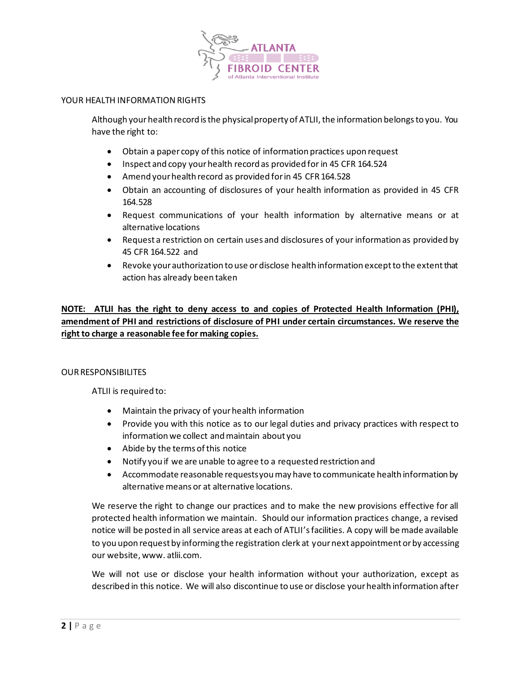

### YOUR HEALTH INFORMATION RIGHTS

Although your health record is the physical property of ATLII, the information belongs to you. You have the right to:

- Obtain a paper copy of this notice of information practices upon request
- Inspect and copy your health record as provided for in 45 CFR 164.524
- Amend your health record as provided for in 45 CFR 164.528
- Obtain an accounting of disclosures of your health information as provided in 45 CFR 164.528
- Request communications of your health information by alternative means or at alternative locations
- Request a restriction on certain uses and disclosures of your information as provided by 45 CFR 164.522 and
- Revoke your authorization to use or disclose health information except to the extent that action has already been taken

# **NOTE: ATLII has the right to deny access to and copies of Protected Health Information (PHI), amendment of PHI and restrictions of disclosure of PHI under certain circumstances. We reserve the right to charge a reasonable fee for making copies.**

### OUR RESPONSIBILITES

ATLII is required to:

- Maintain the privacy of your health information
- Provide you with this notice as to our legal duties and privacy practices with respect to information we collect and maintain about you
- Abide by the terms of this notice
- Notify you if we are unable to agree to a requested restriction and
- Accommodate reasonable requests you may have to communicate health information by alternative means or at alternative locations.

We reserve the right to change our practices and to make the new provisions effective for all protected health information we maintain. Should our information practices change, a revised notice will be posted in all service areas at each of ATLII'sfacilities. A copy will be made available to you upon request by informing the registration clerk at your next appointment or by accessing our website, www. atlii.com.

We will not use or disclose your health information without your authorization, except as described in this notice. We will also discontinue to use or disclose your health information after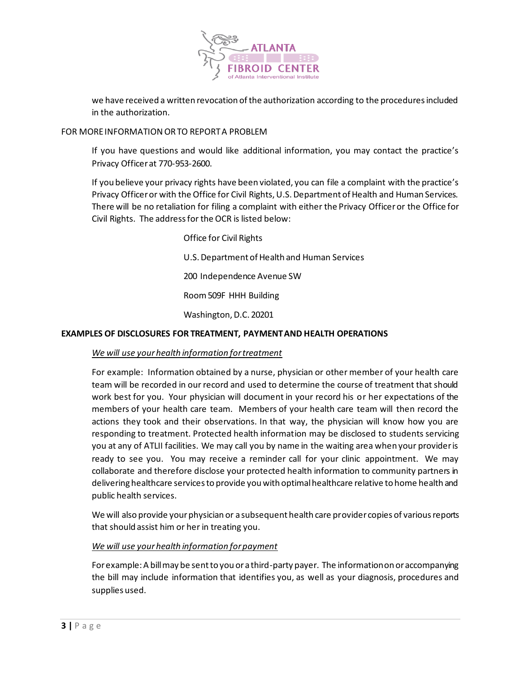

we have received a written revocation of the authorization according to the procedures included in the authorization.

### FOR MORE INFORMATION OR TO REPORT A PROBLEM

If you have questions and would like additional information, you may contact the practice's Privacy Officer at 770-953-2600.

If you believe your privacy rights have been violated, you can file a complaint with the practice's Privacy Officer or with the Office for Civil Rights, U.S. Department of Health and Human Services. There will be no retaliation for filing a complaint with either the Privacy Officer or the Office for Civil Rights. The address for the OCR is listed below:

> Office for Civil Rights U.S. Department of Health and Human Services 200 Independence Avenue SW Room 509F HHH Building Washington, D.C. 20201

### **EXAMPLES OF DISCLOSURES FOR TREATMENT, PAYMENT AND HEALTH OPERATIONS**

# *We will use your health information for treatment*

For example: Information obtained by a nurse, physician or other member of your health care team will be recorded in our record and used to determine the course of treatment that should work best for you. Your physician will document in your record his or her expectations of the members of your health care team. Members of your health care team will then record the actions they took and their observations. In that way, the physician will know how you are responding to treatment. Protected health information may be disclosed to students servicing you at any of ATLII facilities. We may call you by name in the waiting area when your provider is ready to see you. You may receive a reminder call for your clinic appointment. We may collaborate and therefore disclose your protected health information to community partners in delivering healthcare services to provide you with optimal healthcare relative to home health and public health services.

We will also provide your physician or a subsequent health care provider copies of various reports that should assist him or her in treating you.

### *We will use your health information for payment*

For example: A bill may be sent to you or a third-party payer. The information on or accompanying the bill may include information that identifies you, as well as your diagnosis, procedures and supplies used.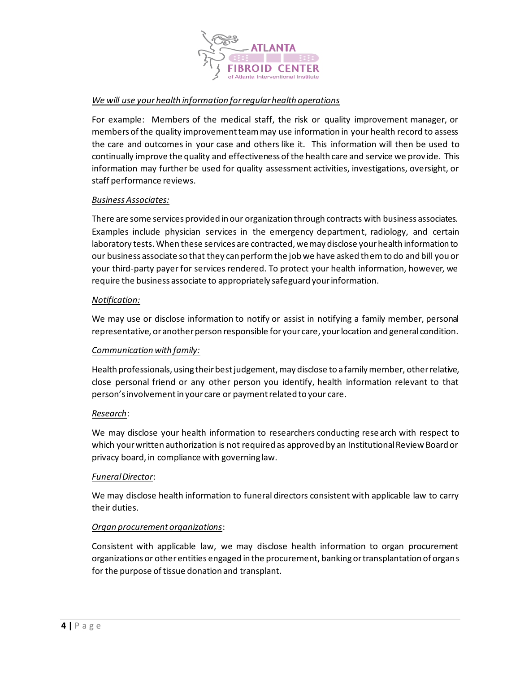

# *We will use your health information for regular health operations*

For example: Members of the medical staff, the risk or quality improvement manager, or members of the quality improvement team may use information in your health record to assess the care and outcomes in your case and others like it. This information will then be used to continually improve the quality and effectiveness of the health care and service we prov ide. This information may further be used for quality assessment activities, investigations, oversight, or staff performance reviews.

### *Business Associates:*

There are some services provided in our organization through contracts with business associates. Examples include physician services in the emergency department, radiology, and certain laboratory tests. When these services are contracted, we may disclose your health information to our business associate so that they can perform the job we have asked them to do and bill you or your third-party payer for services rendered. To protect your health information, however, we require the business associate to appropriately safeguard your information.

### *Notification:*

We may use or disclose information to notify or assist in notifying a family member, personal representative, or another person responsible for your care, your location and general condition.

### *Communication with family:*

Health professionals, using their best judgement, may disclose to a family member, other relative, close personal friend or any other person you identify, health information relevant to that person's involvement in your care or payment related to your care.

### *Research*:

We may disclose your health information to researchers conducting research with respect to which your written authorization is not required as approved by an Institutional Review Board or privacy board, in compliance with governing law.

### *Funeral Director*:

We may disclose health information to funeral directors consistent with applicable law to carry their duties.

### *Organ procurement organizations*:

Consistent with applicable law, we may disclose health information to organ procurement organizations or other entities engaged in the procurement, banking or transplantation of organs for the purpose of tissue donation and transplant.